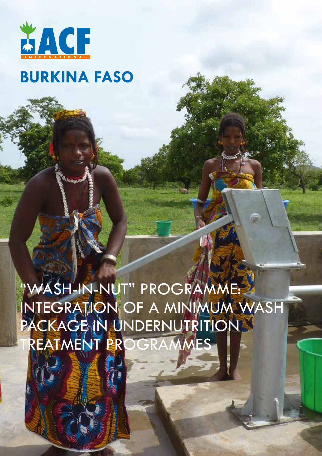

# **BURKINA FASO**

"WASH-IN-NUT" PROGRAMME: INTEGRATION OF A MINIMUM WASH PACKAGE IN UNDERNUTRITION REATMENT PROGRAMMES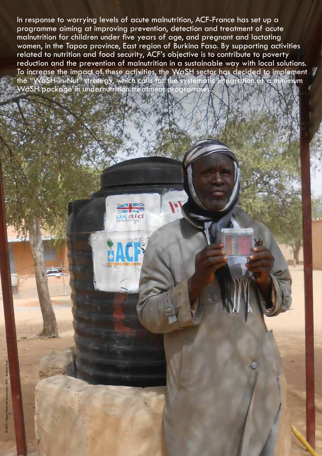In response to worrying levels of acute malnutrition, ACF-France has set up a programme aiming at improving prevention, detection and treatment of acute malnutrition for children under five years of age, and pregnant and lactating women, in the Tapoa province, East region of Burkina Faso. By supporting activities related to nutrition and food security, ACF's objective is to contribute to poverty reduction and the prevention of malnutrition in a sustainable way with local solutions. To increase the impact of these activities, the WaSH sector has decided to implement the "WaSH-in-Nut" strategy, which calls for the systematic integration of a minimum WaSH package in undernutrition treatment programmes.

© ACF - Niger. Photo de couverture : ACF - Burkina Faso

2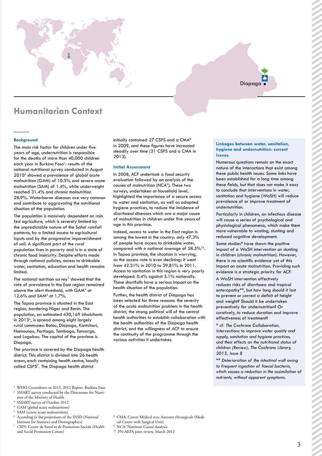# Diapaga

# **Humanitarian Context**

#### **Background**

The main risk factor for children under five years of age, undernutrition is responsible for the deaths of more than 40,000 children each year in Burkina Faso<sup>1</sup>: results of the national nutritional survey conducted in August 20102 showed a prevalence of global acute malnutrition (GAM) of 10.5% and severe acute malnutrition (SAM) of 1.4%, while underweight reached 31.4% and chronic malnutrition 28.9%. Waterborne diseases are very common and contribute to aggravating the nutritional situation of the population.

The population is massively dependent on rain fed agriculture, which is severely limited by the unpredictable nature of the Sahel rainfall patterns, by a limited access to agricultural inputs and by the progressive impoverishment of soil. A significant part of the rural population lives in poverty and is in a state of chronic food insecurity. Despite efforts made through national policies, access to drinkable water, sanitation, education and health remains limited.

The national nutrition survey<sup>3</sup> showed that the rate of prevalence in the East region remained above the alert threshold, with GAM<sup>4</sup> at  $12.6\%$  and SAM<sup>5</sup> at 1.7%.

The Tapoa province is situated in the East region, bordering Niger and Benin. The population, an estimated 430,169 inhabitants in 2013<sup>6</sup>, is spread among eight largely rural communes: Botou, Diapaga, Kantchari, Namounou, Partiaga, Tambaga, Tansarga, and Logobou. The capital of the province is Diapaga.

The province is covered by the Diapaga health district. This district is divided into 26 health areas, each containing health centre, locally called CSPS<sup>7</sup>. The Diapaga health district

- 1 WHO Countdown to 2015, 2012 Report. Burkina Faso 2 SMART survey conducted by the Directorate for Nutri-
- tion of the Ministry of Health
- 3 SMART survey of October 2012
- 4 GAM (global acute malnutrition)
- 5 SAM (severe acute malnutrition) 6 According to the projections of the INSD (National
- Institute for Statistics and Demographics) 7 CSPS: Centre de Santé et de Promotion Sociale (Health
- and Social Promotion Centre)

initially contained 27 CSPS and a CMA<sup>8</sup> in 2009, and these figures have increased steadily over time (31 CSPS and a CMA in 2013).

#### **Initial Assessment**

In 2008, ACF undertook a food security evaluation followed by an analysis of the causes of malnutrition (NCA<sup>9</sup>). These two surveys, undertaken at household level, highlighted the importance of a secure access to water and sanitation, as well as adapted hygiene practices, to reduce the incidence of diarrhoeal diseases which are a major cause of malnutrition in children under five years of age in this province.

Indeed, access to water in the East region is among the lowest in the country: only 47.3% of people have access to drinkable water, compared with a national average of 58.5%10. In Tapoa province, the situation is worrying, as the access rate is even declining: it went from 42.31% in 2010 to 39.81% in 2011. Access to sanitation in this region is very poorly developed: 0.4% against 3.1% nationally. These shortfalls have a serious impact on the health situation of the population.

Further, the health district of Diapaga has been selected for three reasons: the severity of the acute malnutrition problem in the health district; the strong political will of the central health authorities to establish collaboration with the health authorities of the Diapaga health district; and the willingness of ACF to ensure the continuity of the programme through the various activities it undertakes.

#### **Linkages between water, sanitation, hygiene and undernutrition: current issues.**

Numerous questions remain on the exact nature of the interactions that exist among these public health issues. Some links have been established for a long time among these fields, but that does not make it easy to conclude that interventions in water, sanitation and hygiene (WaSH) will reduce prevalence of or improve treatment of undernutrition.

Particularly in children, an infectious disease will cause a series of psychological and physiological phenomena, which make them more vulnerable to wasting, stunting and reduced cognitive development.

Some studies\* have shown the positive impact of a WaSH intervention on stunting in children (chronic malnutrition). However, there is no scientific evidence yet of this impact on acute malnutrition. Providing such evidence is a strategic priority for ACF.

A WaSH intervention effectively reduces risks of diarrhoea and tropical enteropathy\*\*, but how long should it last to prevent or correct a deficit of height and weight? Should it be undertaken preventively for undernutrition? Or curatively, to reduce duration and improve effectiveness of treatment?

*\* cf: The Cochrane Collaboration, Interventions to improve water quality and supply, sanitation and hygiene practices, and their effects on the nutritional status of children (Review), The Cochrane Library, 2013, Issue 8*

*\*\* Deterioration of the intestinal wall owing to frequent ingestion of faecal bacteria, which causes a reduction in the assimilation of nutrients, without apparent symptoms.*

- 8 CMA: Centre Médical avec Antenne chirurgicale (Medi-
- cal Centre with Surgical Unit)
- 9 NCA: Nutrition Causal Analysis
- <sup>10</sup> PN-AEPA joint review, March 2012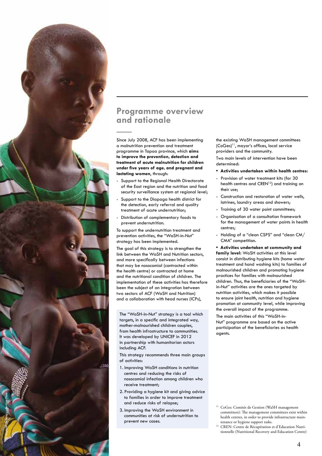

Since July 2008, ACF has been implementing a malnutrition prevention and treatment programme in Tapoa province, which **aims to improve the prevention, detection and treatment of acute malnutrition for children under five years of age, and pregnant and lactating women**, through:

- Support to the Regional Health Directorate of the East region and the nutrition and food security surveillance system at regional level;
- Support to the Diapaga health district for the detection, early referral and quality treatment of acute undernutrition;
- Distribution of complementary foods to prevent undernutrition.

To support the undernutrition treatment and prevention activities, the "WaSH-in-Nut" strategy has been implemented.

The goal of this strategy is to strengthen the link between the WaSH and Nutrition sectors, and more specifically between infections that may be nosocomial (contracted within the health centre) or contracted at home and the nutritional condition of children. The implementation of these activities has therefore been the subject of an integration between two sectors of ACF (WaSH and Nutrition) and a collaboration with head nurses (ICPs),

The "WaSH-in-Nut" strategy is a tool which targets, in a specific and integrated way, mother-malnourished children couples, from health infrastructure to communities. It was developed by UNICEF in 2012 in partnership with humanitarian actors including ACF.

This strategy recommends three main groups of activities:

- 1. Improving WaSH conditions in nutrition centres and reducing the risks of nosocomial infection among children who receive treatment;
- 2. Providing a hygiene kit and giving advice to families in order to improve treatment and reduce risks of relapse;
- 3. Improving the WaSH environment in communities at risk of undernutrition to prevent new cases.

© Raphaël de Bengy - Burkina Faso

the existing WaSH management committees (CoGes)11, mayor's offices, local service providers and the community.

Two main levels of intervention have been determined:

- **• Activities undertaken within health centres:**
- Provision of water treatment kits (for 30 health centres and CREN<sup>12</sup>) and training on their use:
- Construction and restoration of water wells, latrines, laundry areas and showers;
- Training of 30 water point committees;
- Organisation of a consultation framework for the management of water points in health centres;
- Holding of a "clean CSPS" and "clean CM/ CMA" competition.

**• Activities undertaken at community and family level:** WaSH activities at this level consist in distributing hygiene kits (home water treatment and hand washing kits) to families of malnourished children and promoting hygiene practices for families with malnourished children. Thus, the beneficiaries of the "WaSHin-Nut" activities are the ones targeted by nutrition activities, which makes it possible to ensure joint health, nutrition and hygiene promotion at community level, while improving the overall impact of the programme.

The main activities of this "WaSH-in-Nut" programme are based on the active participation of the beneficiaries as health agents.

- <sup>11</sup> CoGes: Comités de Gestion (WaSH management committees): The management committees exist within health centres, in order to provide infrastructure main tenance or hygiene support tasks.
- <sup>12</sup> CREN: Centre de Récupération et d'Education Nutritionnelle (Nutritional Recovery and Education Centre)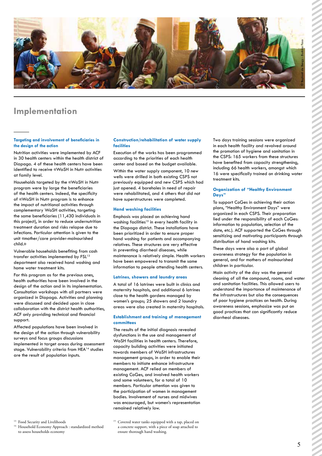

# **Implementation**

#### **Targeting and involvement of beneficiaries in the design of the action**

Nutrition activities were implemented by ACF in 30 health centers within the health district of Diapaga. 4 of these health centers have been identified to receive «WaSH in Nut» activities at family level.

Households targeted by the «WaSH in Nut» program were by large the beneficiaries of the health centers. Indeed, the specificity of «WaSH in Nut» program is to enhance the impact of nutritional activities through complementary WaSH activities, targeting the same beneficiaries (11,430 individuals in this project), in order to reduce undernutrition treatment duration and risks relapse due to infections. Particular attention is given to the unit «mother/care provider-malnourished child.»

Vulnerable households benefiting from cash transfer activities implemented by FSL<sup>13</sup> department also received hand washing and home water treatment kits.

For this program as for the previous ones, health authorities have been involved in the design of the action and in its implementation. Consultation workshops with all partners were organized in Diapaga. Activities and planning were discussed and decided upon in close collaboration with the district health authorities, ACF only providing technical and financial support.

Affected populations have been involved in the design of the action through vulnerability surveys and focus groups discussions implemented in target areas during assessment stage. Vulnerability criteria from HEA<sup>14</sup> studies are the result of population inputs.

#### **Construction/rehabilitation of water supply facilities**

Execution of the works has been programmed according to the priorities of each health center and based on the budget available. Within the water supply component, 10 new wells were drilled in both existing CSPS not previously equipped and new CSPS which had just opened. 4 boreholes in need of repair were rehabilitated, and 4 others that did not have superstructures were completed.

#### **Hand washing facilities**

Emphasis was placed on achieving hand washing facilities<sup>15</sup> in every health facility in the Diapaga district. These installations have been prioritized in order to ensure proper hand washing for patients and accompanying relatives. These structures are very effective in preventing diarrheal diseases, while maintenance is relatively simple. Health workers have been empowered to transmit the same information to people attending health centers.

#### **Latrines, showers and laundry areas**

A total of 16 latrines were built in clinics and maternity hospitals, and additional 6 latrines close to the health gardens managed by women's groups: 25 showers and 2 laundry areas were also created in maternity hospitals.

#### **Establishment and training of management committees**

The results of the initial diagnosis revealed dysfunctions in the use and management of WaSH facilities in health centers. Therefore, capacity building activities were initiated towards members of WaSH infrastructures management groups, in order to enable their members to initiate enhance infrastructure management. ACF relied on members of existing CoGes, and involved health workers and some volunteers, for a total of 10 members. Particular attention was given to the participation of women in management bodies. Involvement of nurses and midwives was encouraged, but women's representation remained relatively low.

Two days training sessions were organized in each health facility and revolved around the promotion of hygiene and sanitation in the CSPS: 165 workers from these structures have benefited from capacity strengthening, including 66 health workers, amongst which 16 were specifically trained on drinking water treatment kits.

### **Organization of "Healthy Environment Days"**

To support CoGes in achieving their action plans, "Healthy Environment Days" were organized in each CSPS. Their preparation lied under the responsibility of each CoGes: information to population, selection of the date, etc.). ACF supported the CoGes through sensitizing and motivating participants through distribution of hand washing kits.

These days were also a part of global awareness strategy for the population in general, and for mothers of malnourished children in particular.

Main activity of the day was the general cleaning of all the compound, rooms, and water and sanitation facilities. This allowed users to understand the importance of maintenance of the infrastructures but also the consequences of poor hygiene practices on health. During awareness sessions, emphasize was put on good practices that can significantly reduce diarrheal diseases.

<sup>&</sup>lt;sup>13</sup> Food Security and Livelihoods

<sup>&</sup>lt;sup>14</sup> Household Economy Approach : standardized method to assess households economy

<sup>&</sup>lt;sup>15</sup> Covered water tanks equipped with a tap, placed on a concrete support, with a piece of soap attached to ensure thorough hand washing.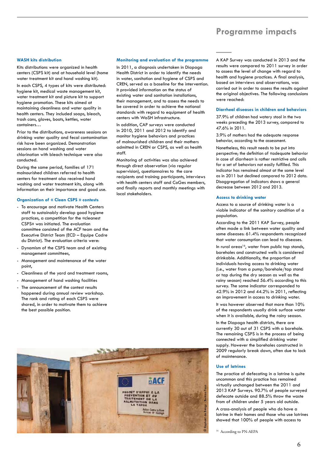# **Programme impacts**

#### **WASH kits distribution**

Kits distributions were organized in health centers (CSPS kit) and at household level (home water treatment kit and hand washing kit).

In each CSPS, 4 types of kits were distributed: hygiene kit, medical waste management kit, water treatment kit and picture kit to support hygiene promotion. These kits aimed at maintaining cleanliness and water quality in health centers. They included soaps, bleach, trash cans, gloves, boots, kettles, water containers…

Prior to the distributions, awareness sessions on drinking water quality and fecal contamination risk have been organized. Demonstration sessions on hand washing and water chlorination with bleach technique were also conducted.

During the same period, families of 171 malnourished children referred to health centers for treatment also received hand washing and water treatment kits, along with information on their importance and good use.

#### **Organization of « Clean CSPS » contests**

- To encourage and motivate Health Centers staff to sustainably develop good hygiene practices, a competition for the «cleanest CSPS» was initiated. The evaluation committee consisted of the ACF team and the Executive District Team (ECD – Equipe Cadre du District). The evaluation criteria were:
- Dynamism of the CSPS team and of existing management committees,
- Management and maintenance of the water point,
- Cleanliness of the yard and treatment rooms,
- Management of hand washing facilities
- The announcement of the contest results happened during annual review workshop. The rank and rating of each CSPS were shared, in order to motivate them to achieve the best possible position.

#### **Monitoring and evaluation of the programme**

In 2011, a diagnosis undertaken in Diapaga Health District in order to identify the needs in water, sanitation and hygiene of CSPS and CREN, served as a baseline for the intervention. It provided information on the status of existing water and sanitation installations, their management, and to assess the needs to be covered in order to achieve the national standards with regard to equipment of health centers with WaSH infrastructure.

In addition, CAP surveys were conducted in 2010, 2011 and 2012 to identify and monitor hygiene behaviors and practices of malnourished children and their mothers admitted in CREN or CSPS, as well as health staff.

Monitoring of activities was also achieved through direct observation (via regular supervision), questionnaires to the care recipients and training participants, interviews with health centers staff and CoGes members, and finally reports and monthly meetings with local stakeholders.

A KAP Survey was conducted in 2013 and the results were compared to 2011 survey in order to assess the level of change with regard to health and hygiene practices. A final analysis, based on interviews and observations, was carried out in order to assess the results against the original objectives. The following conclusions were reached:

#### **Diarrheal diseases in children and behaviors**

37.9% of children had watery stool in the two weeks preceding the 2013 survey, compared to 47.6% in 2011.

3.9% of mothers had the adequate response behavior, according to the assessment.

Nonetheless, this result needs to be put into perspective; the definition of «adequate behavior in case of diarrhea» is rather restrictive and calls for a set of behaviors not easily fulfilled. This indicator has remained almost at the same level as in 2011 but declined compared to 2012 data. Disaggregation of indicators shows a general decrease between 2012 and 2013.

#### **Access to drinking water**

Access to a source of drinking water is a viable indicator of the sanitary condition of a population.

According to the 2011 KAP Survey, people often made a link between water quality and some diseases: 61.4% respondents recognized that water consumption can lead to diseases.

In rural areas<sup>16</sup>, water from public tap stands, boreholes and constructed wells is considered drinkable. Additionally, the proportion of individuals having access to drinking water (i.e., water from a pump/borehole/tap stand or tap during the dry season as well as the rainy season) reached 56.4% according to this survey. The same indicator corresponded to 42.9% in 2012 and 44.2% in 2011, reflecting an improvement in access to drinking water.

It was however observed that more than 10% of the respondents usually drink surface water when it is available, during the rainy season.

In the Diapaga health districts, there are currently 30 out of 31 CSPS with a borehole. The remaining CSPS is in the process of being connected with a simplified drinking water supply. However the boreholes constructed in 2009 regularly break down, often due to lack of maintenance.

### **Use of latrines**

The practice of defecating in a latrine is quite uncommon and this practice has remained virtually unchanged between the 2011 and 2013 KAP Surveys. 90.7% of people surveyed defecate outside and 88.5% throw the waste from of children under 5 years old outside.

A cross-analysis of people who do have a latrine in their homes and those who use latrines showed that 100% of people with access to

<sup>16</sup> According to PN-AEPA

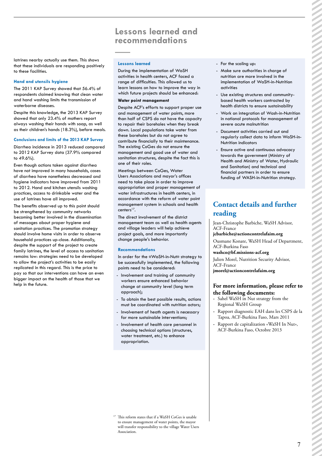## **Lessons learned and recommendations**

latrines nearby actually use them. This shows that these individuals are responding positively to these facilities.

#### **Hand and utensils hygiene**

The 2011 KAP Survey showed that 56.4% of respondents claimed knowing that clean water and hand washing limits the transmission of waterborne diseases.

Despite this knowledge, the 2013 KAP Survey showed that only 23.4% of mothers report always washing their hands with soap, as well as their children's hands (18.3%), before meals.

#### **Conclusions and limits of the 2013 KAP Survey**

Diarrhea incidence in 2013 reduced compared to 2012 KAP Survey data (37.9% compared to 49.6%).

Even though actions taken against diarrhea have not improved in many households, cases of diarrhea have nonetheless decreased and hygiene indicators have improved from 2011 to 2012. Hand and kitchen utensils washing practices, access to drinkable water and the use of latrines have all improved.

The benefits observed up to this point should be strengthened by community networks becoming better involved in the dissemination of messages about proper hygiene and sanitation practices. The promotion strategy should involve home visits in order to observe household practices up-close. Additionally, despite the support of the project to create family latrines, the level of access to sanitation remains low: strategies need to be developed to allow the project's activities to be easily replicated in this regard. This is the price to pay so that our interventions can have an even bigger impact on the health of those that we help in the future.

#### **Lessons learned**

During the implementation of WaSH activities in health centers, ACF faced a range of difficulties. This allowed us to learn lessons on how to improve the way in which future projects should be enhanced:

#### **Water point management**

Despite ACF's efforts to support proper use and management of water points, more than half of CSPS do not have the capacity to repair their boreholes when they break down. Local populations take water from these boreholes but do not agree to contribute financially to their maintenance. The existing CoGes do not ensure the management and good use of water and sanitation structures, despite the fact this is one of their roles.

Meetings between CoGes, Water Users Associations and mayor's offices need to take place in order to improve appropriation and proper management of water infrastructures in health centers, in accordance with the reform of water point management system in schools and health centers<sup>17</sup>.

The direct involvement of the district management team as well as health agents and village leaders will help achieve project goals, and more importantly change people's behavior.

#### **Recommendations**

In order for the «WaSH-in-Nut» strategy to be successfully implemented, the following points need to be considered:

- Involvement and training of community workers ensure enhanced behavior change at community level (long term approach);
- To obtain the best possible results, actions must be coordinated with nutrition actors;
- Involvement of heath agents is necessary for more sustainable interventions;
- Involvement of health care personnel in choosing technical options (structures, water treatment, etc.) to enhance appropriation.
- For the scaling up:
- Make sure authorities in charge of nutrition are more involved in the implementation of WaSH-in-Nutrition activities
- Use existing structures and communitybased health workers contracted by health districts to ensure sustainability
- Work on integration of Wash-in-Nutrition in national protocols for management of severe acute malnutrition
- Document activities carried out and regularly collect data to inform WaSH-in-Nutrition indicators
- Ensure active and continuous advocacy towards the government (Ministry of Health and Ministry of Water, Hydraulic and Sanitation) and technical and financial partners in order to ensure funding of WASH-in-Nutrition strategy.

### **Contact details and further reading**

Jean-Christophe Barbiche, WaSH Advisor, ACF-France

### **jcbarbiche@actioncontrelafaim.org**

Ousmane Konate, WaSH Head of Department, ACF-Burkina Faso

### **washco@bf.missions-acf.org**

Julien Morel, Nutrition Security Advisor, ACF-France

**jmorel@actioncontrelafaim.org**

### **For more information, please refer to the following documents:**

- Sahel WaSH in Nut strategy from the Regional WaSH Group
- Rapport diagnostic EAH dans les CSPS de la Tapoa, ACF-Burkina Faso, Mars 2011
- Rapport de capitalization «WaSH In Nut», ACF-Burkina Faso, Octobre 2013

<sup>17</sup> This reform states that if a WaSH CoGes is unable to ensure management of water points, the mayor will transfer responsibility to the village Water Users Association.